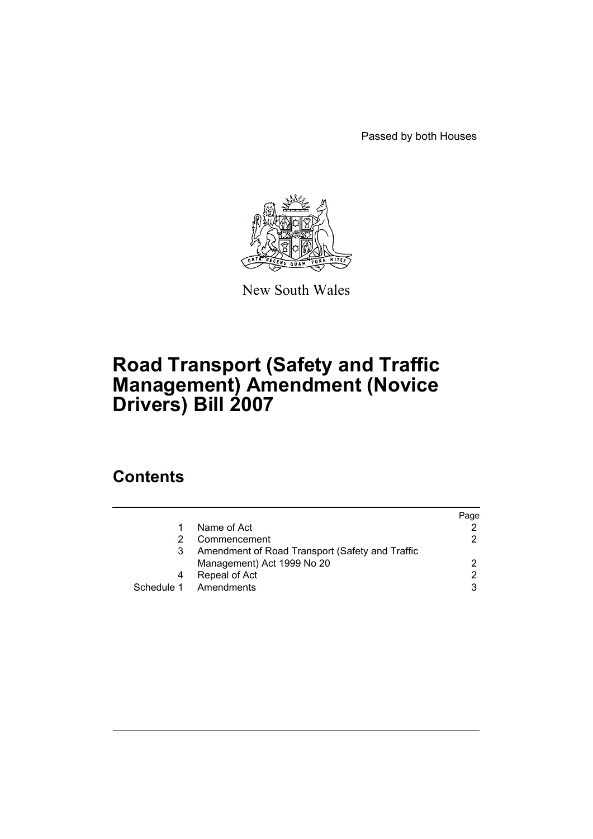Passed by both Houses



New South Wales

# **Road Transport (Safety and Traffic Management) Amendment (Novice Drivers) Bill 2007**

## **Contents**

|   |                                                 | Page |
|---|-------------------------------------------------|------|
|   | Name of Act                                     |      |
|   | Commencement                                    | 2    |
|   | Amendment of Road Transport (Safety and Traffic |      |
|   | Management) Act 1999 No 20                      | 2    |
| 4 | Repeal of Act                                   | 2.   |
|   | Schedule 1 Amendments                           | 3    |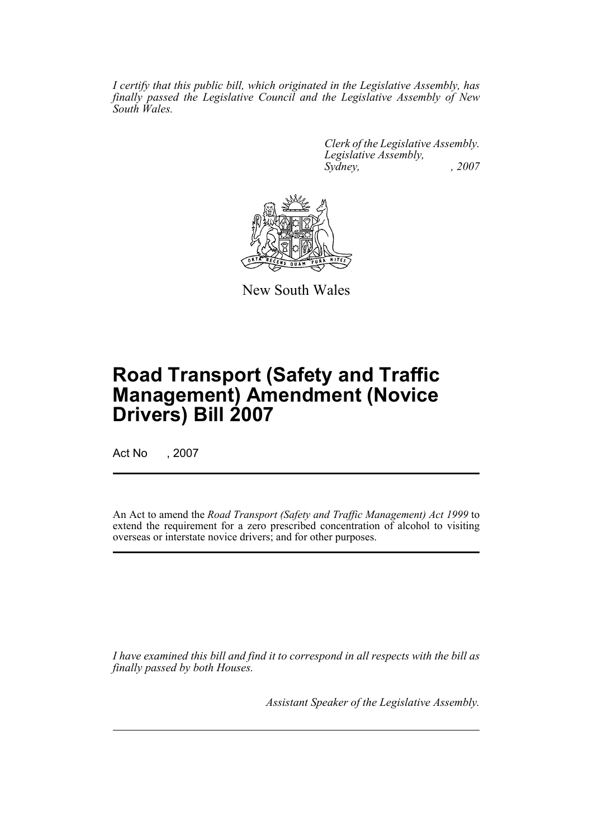*I certify that this public bill, which originated in the Legislative Assembly, has finally passed the Legislative Council and the Legislative Assembly of New South Wales.*

> *Clerk of the Legislative Assembly. Legislative Assembly, Sydney, , 2007*



New South Wales

# **Road Transport (Safety and Traffic Management) Amendment (Novice Drivers) Bill 2007**

Act No , 2007

An Act to amend the *Road Transport (Safety and Traffic Management) Act 1999* to extend the requirement for a zero prescribed concentration of alcohol to visiting overseas or interstate novice drivers; and for other purposes.

*I have examined this bill and find it to correspond in all respects with the bill as finally passed by both Houses.*

*Assistant Speaker of the Legislative Assembly.*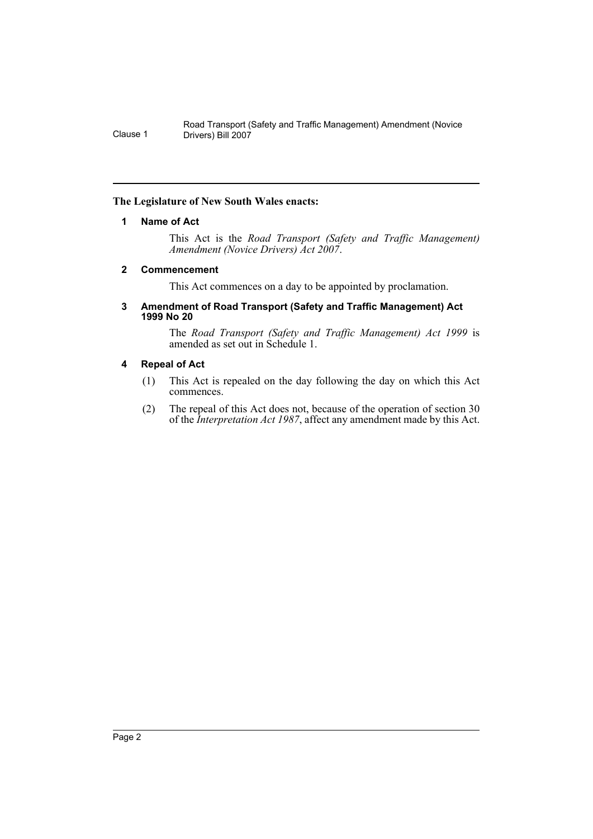## <span id="page-2-0"></span>**The Legislature of New South Wales enacts:**

## **1 Name of Act**

This Act is the *Road Transport (Safety and Traffic Management) Amendment (Novice Drivers) Act 2007*.

## <span id="page-2-1"></span>**2 Commencement**

This Act commences on a day to be appointed by proclamation.

#### <span id="page-2-2"></span>**3 Amendment of Road Transport (Safety and Traffic Management) Act 1999 No 20**

The *Road Transport (Safety and Traffic Management) Act 1999* is amended as set out in Schedule 1.

## <span id="page-2-3"></span>**4 Repeal of Act**

- (1) This Act is repealed on the day following the day on which this Act commences.
- (2) The repeal of this Act does not, because of the operation of section 30 of the *Interpretation Act 1987*, affect any amendment made by this Act.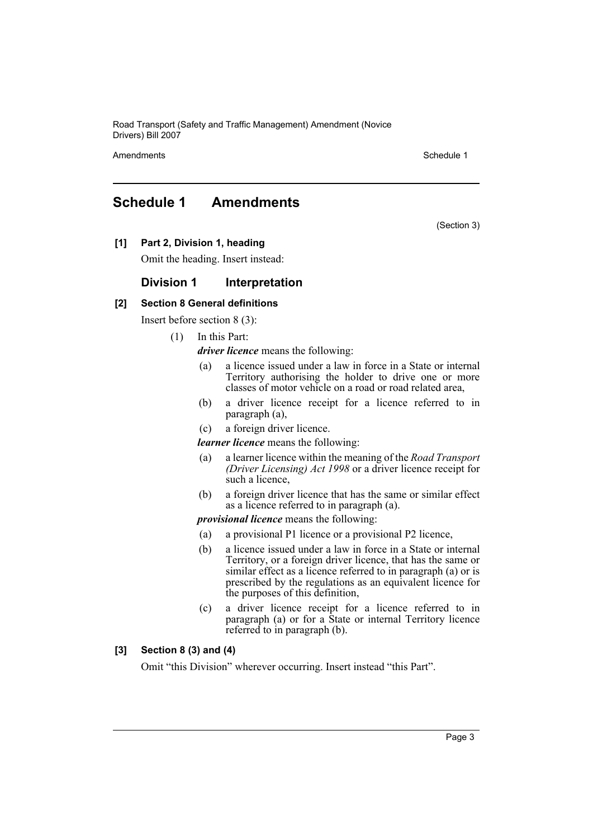Amendments **Schedule 1** and the set of the set of the set of the set of the set of the set of the set of the set of the set of the set of the set of the set of the set of the set of the set of the set of the set of the set

(Section 3)

## <span id="page-3-0"></span>**Schedule 1 Amendments**

**[1] Part 2, Division 1, heading**

Omit the heading. Insert instead:

## **Division 1 Interpretation**

## **[2] Section 8 General definitions**

Insert before section 8 (3):

(1) In this Part:

*driver licence* means the following:

- (a) a licence issued under a law in force in a State or internal Territory authorising the holder to drive one or more classes of motor vehicle on a road or road related area,
- (b) a driver licence receipt for a licence referred to in paragraph (a),
- (c) a foreign driver licence.

*learner licence* means the following:

- (a) a learner licence within the meaning of the *Road Transport (Driver Licensing) Act 1998* or a driver licence receipt for such a licence,
- (b) a foreign driver licence that has the same or similar effect as a licence referred to in paragraph (a).

#### *provisional licence* means the following:

- (a) a provisional P1 licence or a provisional P2 licence,
- (b) a licence issued under a law in force in a State or internal Territory, or a foreign driver licence, that has the same or similar effect as a licence referred to in paragraph (a) or is prescribed by the regulations as an equivalent licence for the purposes of this definition,
- (c) a driver licence receipt for a licence referred to in paragraph (a) or for a State or internal Territory licence referred to in paragraph (b).

## **[3] Section 8 (3) and (4)**

Omit "this Division" wherever occurring. Insert instead "this Part".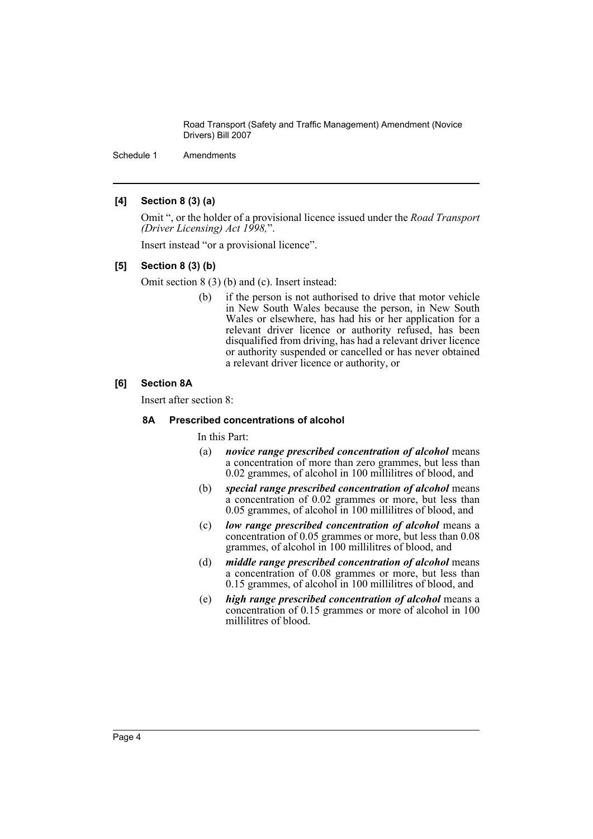Schedule 1 Amendments

## **[4] Section 8 (3) (a)**

Omit ", or the holder of a provisional licence issued under the *Road Transport (Driver Licensing) Act 1998,*".

Insert instead "or a provisional licence".

## **[5] Section 8 (3) (b)**

Omit section 8 (3) (b) and (c). Insert instead:

(b) if the person is not authorised to drive that motor vehicle in New South Wales because the person, in New South Wales or elsewhere, has had his or her application for a relevant driver licence or authority refused, has been disqualified from driving, has had a relevant driver licence or authority suspended or cancelled or has never obtained a relevant driver licence or authority, or

## **[6] Section 8A**

Insert after section 8:

### **8A Prescribed concentrations of alcohol**

## In this Part:

- (a) *novice range prescribed concentration of alcohol* means a concentration of more than zero grammes, but less than 0.02 grammes, of alcohol in 100 millilitres of blood, and
- (b) *special range prescribed concentration of alcohol* means a concentration of 0.02 grammes or more, but less than 0.05 grammes, of alcohol in 100 millilitres of blood, and
- (c) *low range prescribed concentration of alcohol* means a concentration of 0.05 grammes or more, but less than 0.08 grammes, of alcohol in 100 millilitres of blood, and
- (d) *middle range prescribed concentration of alcohol* means a concentration of 0.08 grammes or more, but less than 0.15 grammes, of alcohol in 100 millilitres of blood, and
- (e) *high range prescribed concentration of alcohol* means a concentration of 0.15 grammes or more of alcohol in 100 millilitres of blood.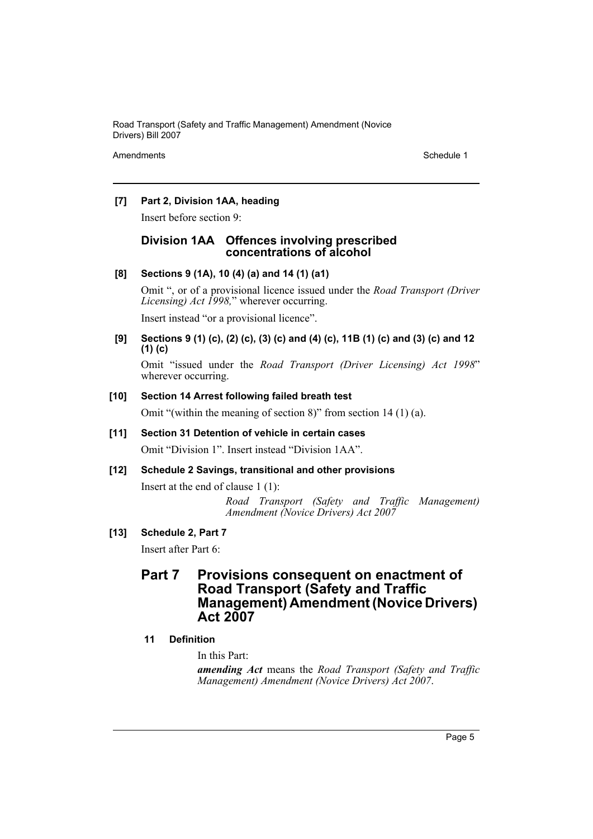Amendments **Schedule 1** and the set of the set of the set of the set of the set of the set of the set of the set of the set of the set of the set of the set of the set of the set of the set of the set of the set of the set

## **[7] Part 2, Division 1AA, heading**

Insert before section 9:

## **Division 1AA Offences involving prescribed concentrations of alcohol**

## **[8] Sections 9 (1A), 10 (4) (a) and 14 (1) (a1)**

Omit ", or of a provisional licence issued under the *Road Transport (Driver Licensing) Act 1998,*" wherever occurring.

Insert instead "or a provisional licence".

## **[9] Sections 9 (1) (c), (2) (c), (3) (c) and (4) (c), 11B (1) (c) and (3) (c) and 12 (1) (c)**

Omit "issued under the *Road Transport (Driver Licensing) Act 1998*" wherever occurring.

## **[10] Section 14 Arrest following failed breath test**

Omit "(within the meaning of section 8)" from section 14 (1) (a).

## **[11] Section 31 Detention of vehicle in certain cases**

Omit "Division 1". Insert instead "Division 1AA".

## **[12] Schedule 2 Savings, transitional and other provisions**

Insert at the end of clause 1 (1): *Road Transport (Safety and Traffic Management) Amendment (Novice Drivers) Act 2007*

## **[13] Schedule 2, Part 7**

Insert after Part 6:

## **Part 7 Provisions consequent on enactment of Road Transport (Safety and Traffic Management) Amendment (Novice Drivers) Act 2007**

## **11 Definition**

In this Part:

*amending Act* means the *Road Transport (Safety and Traffic Management) Amendment (Novice Drivers) Act 2007*.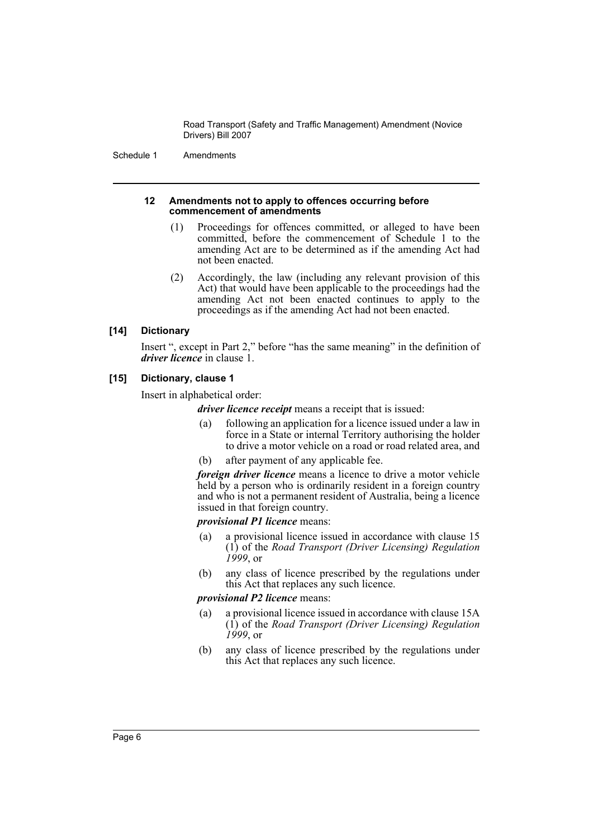Schedule 1 Amendments

#### **12 Amendments not to apply to offences occurring before commencement of amendments**

- (1) Proceedings for offences committed, or alleged to have been committed, before the commencement of Schedule 1 to the amending Act are to be determined as if the amending Act had not been enacted.
- (2) Accordingly, the law (including any relevant provision of this Act) that would have been applicable to the proceedings had the amending Act not been enacted continues to apply to the proceedings as if the amending Act had not been enacted.

## **[14] Dictionary**

Insert ", except in Part 2," before "has the same meaning" in the definition of *driver licence* in clause 1.

## **[15] Dictionary, clause 1**

Insert in alphabetical order:

*driver licence receipt* means a receipt that is issued:

- (a) following an application for a licence issued under a law in force in a State or internal Territory authorising the holder to drive a motor vehicle on a road or road related area, and
- (b) after payment of any applicable fee.

*foreign driver licence* means a licence to drive a motor vehicle held by a person who is ordinarily resident in a foreign country and who is not a permanent resident of Australia, being a licence issued in that foreign country.

## *provisional P1 licence* means:

- (a) a provisional licence issued in accordance with clause 15 (1) of the *Road Transport (Driver Licensing) Regulation 1999*, or
- (b) any class of licence prescribed by the regulations under this Act that replaces any such licence.

## *provisional P2 licence* means:

- (a) a provisional licence issued in accordance with clause 15A (1) of the *Road Transport (Driver Licensing) Regulation 1999*, or
- (b) any class of licence prescribed by the regulations under this Act that replaces any such licence.